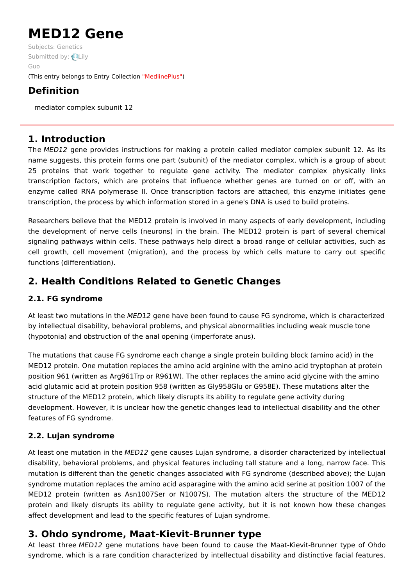# **MED12 Gene**

Subjects: [Genetics](https://encyclopedia.pub/item/subject/56) [Submitted](https://sciprofiles.com/profile/1177833) by: Lily Guo (This entry belongs to Entry Collection ["MedlinePlus"](https://encyclopedia.pub/entry/collection/24))

# **Definition**

mediator complex subunit 12

### **1. Introduction**

The MED12 gene provides instructions for making a protein called mediator complex subunit 12. As its name suggests, this protein forms one part (subunit) of the mediator complex, which is a group of about 25 proteins that work together to regulate gene activity. The mediator complex physically links transcription factors, which are proteins that influence whether genes are turned on or off, with an enzyme called RNA polymerase II. Once transcription factors are attached, this enzyme initiates gene transcription, the process by which information stored in a gene's DNA is used to build proteins.

Researchers believe that the MED12 protein is involved in many aspects of early development, including the development of nerve cells (neurons) in the brain. The MED12 protein is part of several chemical signaling pathways within cells. These pathways help direct a broad range of cellular activities, such as cell growth, cell movement (migration), and the process by which cells mature to carry out specific functions (differentiation).

# **2. Health Conditions Related to Genetic Changes**

#### **2.1. FG syndrome**

At least two mutations in the MED12 gene have been found to cause FG syndrome, which is characterized by intellectual disability, behavioral problems, and physical abnormalities including weak muscle tone (hypotonia) and obstruction of the anal opening (imperforate anus).

The mutations that cause FG syndrome each change a single protein building block (amino acid) in the MED12 protein. One mutation replaces the amino acid arginine with the amino acid tryptophan at protein position 961 (written as Arg961Trp or R961W). The other replaces the amino acid glycine with the amino acid glutamic acid at protein position 958 (written as Gly958Glu or G958E). These mutations alter the structure of the MED12 protein, which likely disrupts its ability to regulate gene activity during development. However, it is unclear how the genetic changes lead to intellectual disability and the other features of FG syndrome.

#### **2.2. Lujan syndrome**

At least one mutation in the MED12 gene causes Lujan syndrome, a disorder characterized by intellectual disability, behavioral problems, and physical features including tall stature and a long, narrow face. This mutation is different than the genetic changes associated with FG syndrome (described above); the Lujan syndrome mutation replaces the amino acid asparagine with the amino acid serine at position 1007 of the MED12 protein (written as Asn1007Ser or N1007S). The mutation alters the structure of the MED12 protein and likely disrupts its ability to regulate gene activity, but it is not known how these changes affect development and lead to the specific features of Lujan syndrome.

## **3. Ohdo syndrome, Maat-Kievit-Brunner type**

At least three MED12 gene mutations have been found to cause the Maat-Kievit-Brunner type of Ohdo syndrome, which is a rare condition characterized by intellectual disability and distinctive facial features.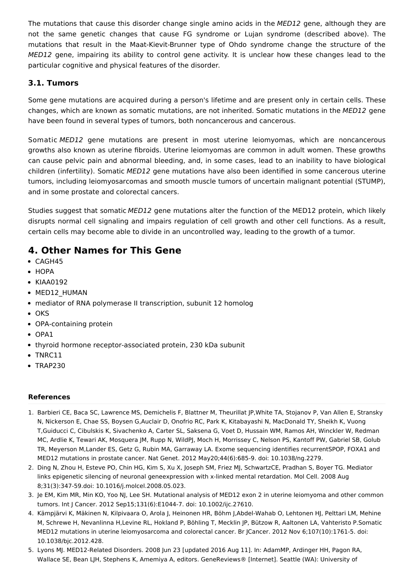The mutations that cause this disorder change single amino acids in the MED12 gene, although they are not the same genetic changes that cause FG syndrome or Lujan syndrome (described above). The mutations that result in the Maat-Kievit-Brunner type of Ohdo syndrome change the structure of the MED12 gene, impairing its ability to control gene activity. It is unclear how these changes lead to the particular cognitive and physical features of the disorder.

#### **3.1. Tumors**

Some gene mutations are acquired during a person's lifetime and are present only in certain cells. These changes, which are known as somatic mutations, are not inherited. Somatic mutations in the MED12 gene have been found in several types of tumors, both noncancerous and cancerous.

Somatic MED12 gene mutations are present in most uterine leiomyomas, which are noncancerous growths also known as uterine fibroids. Uterine leiomyomas are common in adult women. These growths can cause pelvic pain and abnormal bleeding, and, in some cases, lead to an inability to have biological children (infertility). Somatic MED12 gene mutations have also been identified in some cancerous uterine tumors, including leiomyosarcomas and smooth muscle tumors of uncertain malignant potential (STUMP), and in some prostate and colorectal cancers.

Studies suggest that somatic MED12 gene mutations alter the function of the MED12 protein, which likely disrupts normal cell signaling and impairs regulation of cell growth and other cell functions. As a result, certain cells may become able to divide in an uncontrolled way, leading to the growth of a tumor.

## **4. Other Names for This Gene**

- CAGH45
- $\bullet$  HOPA
- KIAA0192
- MED12 HUMAN
- mediator of RNA polymerase II transcription, subunit 12 homolog
- $\bullet$  OKS
- OPA-containing protein
- OPA1
- thyroid hormone receptor-associated protein, 230 kDa subunit
- TNRC11
- $\bullet$  TRAP230

#### **References**

- 1. Barbieri CE, Baca SC, Lawrence MS, Demichelis F, Blattner M, Theurillat JP,White TA, Stojanov P, Van Allen E, Stransky N, Nickerson E, Chae SS, Boysen G,Auclair D, Onofrio RC, Park K, Kitabayashi N, MacDonald TY, Sheikh K, Vuong T,Guiducci C, Cibulskis K, Sivachenko A, Carter SL, Saksena G, Voet D, Hussain WM, Ramos AH, Winckler W, Redman MC, Ardlie K, Tewari AK, Mosquera JM, Rupp N, WildPJ, Moch H, Morrissey C, Nelson PS, Kantoff PW, Gabriel SB, Golub TR, Meyerson M,Lander ES, Getz G, Rubin MA, Garraway LA. Exome sequencing identifies recurrentSPOP, FOXA1 and MED12 mutations in prostate cancer. Nat Genet. 2012 May20;44(6):685-9. doi: 10.1038/ng.2279.
- 2. Ding N, Zhou H, Esteve PO, Chin HG, Kim S, Xu X, Joseph SM, Friez MJ, SchwartzCE, Pradhan S, Boyer TG. Mediator links epigenetic silencing of neuronal geneexpression with x-linked mental retardation. Mol Cell. 2008 Aug 8;31(3):347-59.doi: 10.1016/j.molcel.2008.05.023.
- 3. Je EM, Kim MR, Min KO, Yoo NJ, Lee SH. Mutational analysis of MED12 exon 2 in uterine leiomyoma and other common tumors. Int J Cancer. 2012 Sep15;131(6):E1044-7. doi: 10.1002/ijc.27610.
- 4. Kämpjärvi K, Mäkinen N, Kilpivaara O, Arola J, Heinonen HR, Böhm J,Abdel-Wahab O, Lehtonen HJ, Pelttari LM, Mehine M, Schrewe H, Nevanlinna H,Levine RL, Hokland P, Böhling T, Mecklin JP, Bützow R, Aaltonen LA, Vahteristo P.Somatic MED12 mutations in uterine leiomyosarcoma and colorectal cancer. Br JCancer. 2012 Nov 6;107(10):1761-5. doi: 10.1038/bjc.2012.428.
- 5. Lyons MJ. MED12-Related Disorders. 2008 Jun 23 [updated 2016 Aug 11]. In: AdamMP, Ardinger HH, Pagon RA, Wallace SE, Bean LJH, Stephens K, Amemiya A, editors. GeneReviews® [Internet]. Seattle (WA): University of